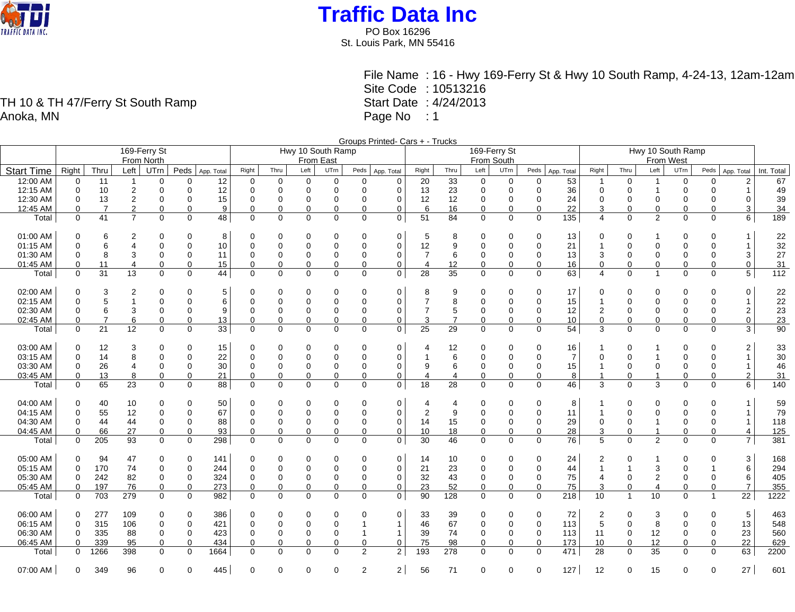

PO Box 16296 St. Louis Park, MN 55416

File Name : 16 - Hwy 169-Ferry St & Hwy 10 South Ramp, 4-24-13, 12am-12am Site Code : 10513216 Start Date : 4/24/2013 Page No : 1

Groups Printed- Cars + - Trucks 169-Ferry St From North Hwy 10 South Ramp From East 169-Ferry St From South Hwy 10 South Ramp From West Start Time Right Thru Left UTrn Peds App. Total Right Thru Left UTrn Peds App. Total Right Thru Left UTrn Peds App. Total Right Thru Left UTrn Peds App. Total Right Thru Left UTrn Peds App. Total Int. Total 12:00 AM | 0 11 1 0 0 12 | 0 0 0 0 0 0 20 33 0 0 0 53 | 1 0 1 0 0 2 | 67 12:15 AM 0 10 2 0 0 12 0 0 0 0 0 0 13 23 0 0 0 36 0 0 1 0 0 1 49 12:30 AM 0 13 2 0 0 15 0 0 0 0 0 0 12 12 0 0 0 24 0 0 0 0 0 0 39 12:45 AM 0 7 2 0 0 9 0 0 0 0 0 0 6 16 0 0 0 22 3 0 0 0 0 3 34 Total | 0 41 7 0 0 48 | 0 0 0 0 0 0 0 51 84 0 0 0 135 | 4 0 2 0 0 6 | 189 01:00 AM 0 6 2 0 0 8 0 0 0 0 0 0 5 8 0 0 0 13 0 0 1 0 0 1 22 01:15 AM | 0 6 4 0 0 10 | 0 0 0 0 0 0 12 9 0 0 0 21 | 1 0 0 0 0 1 | 32 01:30 AM 0 8 3 0 0 11 0 0 0 0 0 0 7 6 0 0 0 13 3 0 0 0 0 3 27 01:45 AM | 0 11 4 0 0 15 | 0 0 0 0 0 0 | 4 12 0 0 0 16 | 0 0 0 0 0 0 31 Total | 0 31 13 0 0 44 | 0 0 0 0 0 0 28 35 0 0 0 63 | 4 0 1 0 0 5 | 112 02:00 AM 0 3 2 0 0 5 0 0 0 0 0 0 8 9 0 0 0 17 0 0 0 0 0 0 22 02:15 AM 0 5 1 0 0 6 0 0 0 0 0 0 7 8 0 0 0 15 1 0 0 0 0 1 22 02:30 AM 0 6 3 0 0 9 0 0 0 0 0 0 7 5 0 0 0 12 2 0 0 0 0 2 23 02:45 AM 0 7 6 0 0 13 0 0 0 0 0 0 3 7 0 0 0 10 0 0 0 0 0 0 23 Total | 0 21 12 0 0 33 | 0 0 0 0 0 0 25 29 0 0 0 54 | 3 0 0 0 0 3 | 90 03:00 AM | 0 12 3 0 0 15 | 0 0 0 0 0 0 0 | 4 12 0 0 0 16 | 1 0 1 0 0 2 | 33 03:15 AM 0 14 8 0 0 22 0 0 0 0 0 0 1 6 0 0 0 7 0 0 1 0 0 1 30 03:30 AM | 0 26 4 0 0 30 | 0 0 0 0 0 0 0 | 9 6 0 0 0 15 | 1 0 0 0 0 1 | 46 03:45 AM | 0 13 8 0 0 21 | 0 0 0 0 0 0 | 4 4 0 0 0 8 | 1 0 1 0 0 2 | 31 Total 0 65 23 0 0 88 0 0 0 0 0 0 18 28 0 0 0 46 3 0 3 0 0 6 140 04:00 AM | 0 40 10 0 0 50 | 0 0 0 0 0 0 0 | 4 4 0 0 0 0 8 | 1 0 0 0 0 1 | 59 04:15 AM 0 55 12 0 0 67 0 0 0 0 0 0 2 9 0 0 0 11 1 0 0 0 0 1 79 04:30 AM | 0 44 44 0 0 88 | 0 0 0 0 0 0 14 15 0 0 0 29 | 0 0 1 0 0 1 | 118 04:45 AM | 0 66 27 0 0 93 | 0 0 0 0 0 0 10 18 0 0 0 28 | 3 0 1 0 0 4 | 125 Total 0 205 93 0 0 298 0 0 0 0 0 0 30 46 0 0 0 76 5 0 2 0 0 7 381 05:00 AM 0 94 47 0 0 141 0 0 0 0 0 0 14 10 0 0 0 24 2 0 1 0 0 3 168 05:15 AM 0 170 74 0 0 244 0 0 0 0 0 0 21 23 0 0 0 44 1 1 3 0 1 6 294 05:30 AM 0 242 82 0 0 324 0 0 0 0 0 0 32 43 0 0 0 75 4 0 2 0 0 6 405 05:45 AM | 0 197 76 0 0 273 | 0 0 0 0 0 0 0 23 52 0 0 0 75 | 3 0 4 0 0 7 | 355 Total 0 703 279 0 0 982 0 0 0 0 0 0 90 128 0 0 0 218 10 1 10 0 1 22 1222 06:00 AM 0 277 109 0 0 386 0 0 0 0 0 0 33 39 0 0 0 72 2 0 3 0 0 5 463 06:15 AM 0 315 106 0 0 421 0 0 0 0 1 1 46 67 0 0 0 113 5 0 8 0 0 13 548 06:30 AM | 0 335 88 0 0 423 | 0 0 0 1 1 | 39 74 0 0 113 | 11 0 12 0 0 23 | 560 06:45 AM 0 339 95 0 0 434 0 0 0 0 0 0 75 98 0 0 0 173 10 0 12 0 0 22 629 Total 0 1266 398 0 0 1664 0 0 0 0 2 2 193 278 0 0 0 471 28 0 35 0 0 63 2200

07:00 AM | 0 349 96 0 0 445 | 0 0 0 0 2 2 | 56 71 0 0 0 127 | 12 0 15 0 0 27 | 601

TH 10 & TH 47/Ferry St South Ramp Anoka, MN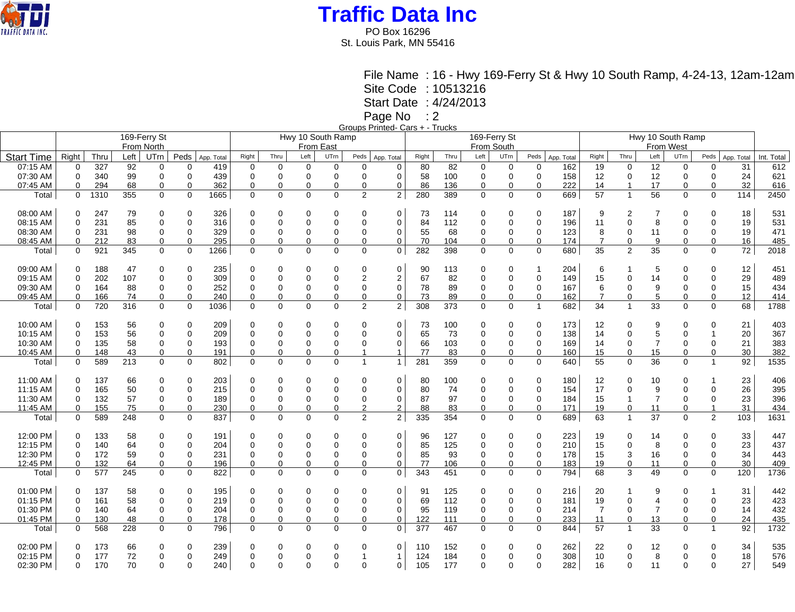

PO Box 16296 St. Louis Park, MN 55416

> File Name : 16 - Hwy 169-Ferry St & Hwy 10 South Ramp, 4-24-13, 12am-12am Site Code : 10513216

Start Date : 4/24/2013

Page No : 2

Groups Printed- Cars + - Trucks

|                   |             |      |      | 169-Ferry St     |             |                   | Hwy 10 South Ramp |             |             |             |                |                |       |      |                | 169-Ferry St |             |            |                |                |                |             |                |            |            |
|-------------------|-------------|------|------|------------------|-------------|-------------------|-------------------|-------------|-------------|-------------|----------------|----------------|-------|------|----------------|--------------|-------------|------------|----------------|----------------|----------------|-------------|----------------|------------|------------|
|                   |             |      |      | From North       |             |                   |                   |             | From East   |             |                |                |       |      |                | From South   |             |            |                |                |                |             |                |            |            |
| <b>Start Time</b> | Right       | Thru | Left | UT <sub>rn</sub> |             | Peds   App. Total | Right             | Thru        | Left        | UTm         | Peds           | App. Total     | Right | Thru | Left           | UTrn         | Peds        | App. Total | Right          | Thru           | Left           | UTrn        | Peds           | App. Total | Int. Total |
| 07:15 AM          | 0           | 327  | 92   | 0                | $\Omega$    | 419               | $\mathbf 0$       | 0           | $\mathbf 0$ | $\mathbf 0$ | $\Omega$       | $\Omega$       | 80    | 82   | 0              | 0            | $\mathbf 0$ | 162        | 19             | 0              | 12             | $\mathbf 0$ | $\mathbf 0$    | 31         | 612        |
| 07:30 AM          | $\mathbf 0$ | 340  | 99   | $\mathbf 0$      | $\Omega$    | 439               | $\mathbf 0$       | 0           | $\Omega$    | $\mathbf 0$ | $\Omega$       | $\overline{0}$ | 58    | 100  | $\mathbf 0$    | $\mathbf 0$  | $\mathbf 0$ | 158        | 12             | $\pmb{0}$      | 12             | $\mathbf 0$ | 0              | 24         | 621        |
| 07:45 AM          | 0           | 294  | 68   | 0                | $\Omega$    | 362               | $\Omega$          | 0           | 0           | 0           | 0              | 0              | 86    | 136  | 0              | 0            | 0           | 222        | 14             | $\overline{1}$ | 17             | $\Omega$    | 0              | 32         | 616        |
| Total             | $\Omega$    | 1310 | 355  | $\Omega$         | $\Omega$    | 1665              | $\Omega$          | $\Omega$    | $\Omega$    | $\Omega$    | 2              | $\overline{2}$ | 280   | 389  | $\Omega$       | $\Omega$     | $\Omega$    | 669        | 57             | $\mathbf{1}$   | 56             | $\Omega$    | $\Omega$       | 114        | 2450       |
|                   |             |      |      |                  |             |                   |                   |             |             |             |                |                |       |      |                |              |             |            |                |                |                |             |                |            |            |
| 08:00 AM          | $\Omega$    | 247  | 79   | 0                | $\Omega$    | 326               | 0                 | 0           | $\Omega$    | 0           | 0              | $\mathbf 0$    | 73    | 114  | 0              | 0            | 0           | 187        | 9              | 2              | 7              | 0           | 0              | 18         | 531        |
| 08:15 AM          | $\Omega$    | 231  | 85   | 0                | $\Omega$    | 316               | 0                 | 0           | $\Omega$    | $\Omega$    | $\Omega$       | 0              | 84    | 112  | $\mathbf 0$    | 0            | $\mathbf 0$ | 196        | 11             | 0              | 8              | $\Omega$    | $\Omega$       | 19         | 531        |
| 08:30 AM          | $\Omega$    | 231  | 98   | 0                | $\Omega$    | 329               | $\Omega$          | 0           | $\Omega$    | 0           | $\Omega$       | 0              | 55    | 68   | $\Omega$       | 0            | $\mathbf 0$ | 123        | 8              | 0              | 11             | $\Omega$    | 0              | 19         | 471        |
| 08:45 AM          | 0           | 212  | 83   | 0                | $\Omega$    | 295               | 0                 | 0           | $\mathbf 0$ | 0           | $\mathbf 0$    | 0              | 70    | 104  | $\overline{0}$ | 0            | $\mathbf 0$ | 174        | $\overline{7}$ | 0              | 9              | 0           | 0              | 16         | 485        |
| Total             | $\mathbf 0$ | 921  | 345  | $\mathbf 0$      | $\mathbf 0$ | 1266              | $\Omega$          | $\mathbf 0$ | $\mathbf 0$ | $\mathbf 0$ | $\mathbf 0$    | $\mathbf 0$    | 282   | 398  | $\mathbf 0$    | $\mathbf 0$  | $\mathbf 0$ | 680        | 35             | $\overline{2}$ | 35             | $\mathbf 0$ | $\mathbf 0$    | 72         | 2018       |
| 09:00 AM          | 0           | 188  | 47   | 0                | $\Omega$    | 235               | 0                 | 0           | 0           | 0           | 0              | 0              | 90    | 113  | 0              | 0            | -1          | 204        | 6              |                | 5              | 0           | 0              | 12         | 451        |
| 09:15 AM          | $\mathbf 0$ | 202  | 107  | 0                | $\mathbf 0$ | 309               | $\mathbf 0$       | 0           | $\Omega$    | $\Omega$    | $\overline{2}$ | $\overline{2}$ | 67    | 82   | $\mathbf 0$    | $\mathbf 0$  | $\mathbf 0$ | 149        | 15             | 0              | 14             | $\Omega$    | 0              | 29         | 489        |
| 09:30 AM          | 0           | 164  | 88   | $\mathbf 0$      | $\Omega$    | 252               | $\Omega$          | 0           | $\Omega$    | $\Omega$    | $\Omega$       | 0              | 78    | 89   | $\Omega$       | 0            | 0           | 167        | 6              | 0              | 9              | $\Omega$    | 0              | 15         | 434        |
| 09:45 AM          | 0           | 166  | 74   | $\mathbf 0$      | $\Omega$    | 240               | $\Omega$          | 0           | $\Omega$    | 0           | $\Omega$       | $\mathbf 0$    | 73    | 89   | $\mathbf 0$    | $\mathbf 0$  | $\mathbf 0$ | 162        | $\overline{7}$ | $\Omega$       | 5              | $\Omega$    | $\Omega$       | 12         | 414        |
| Total             | $\mathbf 0$ | 720  | 316  | $\mathbf 0$      | $\Omega$    | 1036              | $\Omega$          | 0           | $\mathbf 0$ | $\Omega$    | 2              | $\overline{2}$ | 308   | 373  | $\mathbf 0$    | $\mathbf 0$  | $\mathbf 1$ | 682        | 34             | $\mathbf{1}$   | 33             | 0           | $\Omega$       | 68         | 1788       |
|                   |             |      |      |                  |             |                   |                   |             |             |             |                |                |       |      |                |              |             |            |                |                |                |             |                |            |            |
| 10:00 AM          | $\Omega$    | 153  | 56   | 0                | $\Omega$    | 209               | 0                 | 0           | $\Omega$    | $\Omega$    | $\Omega$       | 0              | 73    | 100  | 0              | 0            | 0           | 173        | 12             | 0              | 9              | $\Omega$    | 0              | 21         | 403        |
| 10:15 AM          | 0           | 153  | 56   | $\overline{0}$   | $\Omega$    | 209               | $\Omega$          | 0           | $\mathbf 0$ | $\Omega$    | $\Omega$       | 0              | 65    | 73   | $\mathbf 0$    | $\Omega$     | $\mathbf 0$ | 138        | 14             | 0              | 5              | $\Omega$    |                | 20         | 367        |
| 10:30 AM          | $\Omega$    | 135  | 58   | $\pmb{0}$        | $\Omega$    | 193               | $\Omega$          | 0           | $\mathbf 0$ | 0           | $\Omega$       | 0              | 66    | 103  | $\mathbf 0$    | 0            | $\mathbf 0$ | 169        | 14             | 0              | $\overline{7}$ | $\Omega$    | 0              | 21         | 383        |
| 10:45 AM          | 0           | 148  | 43   | 0                | 0           | 191               | 0                 | 0           | 0           | 0           |                | $\mathbf{1}$   | 77    | 83   | 0              | 0            | 0           | 160        | 15             | 0              | 15             | 0           | 0              | 30         | 382        |
| Total             | $\Omega$    | 589  | 213  | $\Omega$         | $\Omega$    | 802               | $\Omega$          | $\Omega$    | $\Omega$    | $\Omega$    | $\overline{1}$ | $\mathbf{1}$   | 281   | 359  | $\Omega$       | $\Omega$     | $\Omega$    | 640        | 55             | $\Omega$       | 36             | $\Omega$    | $\mathbf{1}$   | 92         | 1535       |
|                   |             |      |      |                  |             |                   |                   |             |             |             |                |                |       |      |                |              |             |            |                |                |                |             |                |            |            |
| 11:00 AM          | 0           | 137  | 66   | 0                | $\Omega$    | 203               | $\Omega$          | 0           | $\Omega$    | 0           | $\Omega$       | 0              | 80    | 100  | 0              | 0            | 0           | 180        | 12             | $\mathbf 0$    | 10             | $\Omega$    |                | 23         | 406        |
| 11:15 AM          | 0           | 165  | 50   | 0                | 0           | 215               | 0                 | 0           | $\Omega$    | $\Omega$    | $\Omega$       | 0              | 80    | 74   | 0              | 0            | $\mathbf 0$ | 154        | 17             | 0              | 9              | $\Omega$    | 0              | 26         | 395        |
| 11:30 AM          | 0           | 132  | 57   | 0                | 0           | 189               | 0                 | 0           | $\mathbf 0$ | 0           | $\mathbf 0$    | 0              | 87    | 97   | $\mathbf 0$    | 0            | $\mathbf 0$ | 184        | 15             | 1              | $\overline{7}$ | 0           | 0              | 23         | 396        |
| 11:45 AM          | 0           | 155  | 75   | 0                | $\Omega$    | 230               | 0                 | 0           | $\mathbf 0$ | $\Omega$    | $\overline{2}$ | $\overline{2}$ | 88    | 83   | $\mathbf 0$    | $\mathbf 0$  | $\Omega$    | 171        | 19             | $\mathbf 0$    | 11             | $\Omega$    |                | 31         | 434        |
| Total             | $\Omega$    | 589  | 248  | $\Omega$         | $\Omega$    | 837               | $\Omega$          | 0           | $\Omega$    | $\Omega$    | 2              | $\overline{2}$ | 335   | 354  | 0              | $\Omega$     | $\Omega$    | 689        | 63             | $\mathbf{1}$   | 37             | $\Omega$    | $\overline{2}$ | 103        | 1631       |
|                   |             |      |      |                  |             |                   |                   |             |             |             |                |                |       |      |                |              |             |            |                |                |                |             |                |            |            |
| 12:00 PM          | 0           | 133  | 58   | 0                | $\Omega$    | 191               | 0                 | 0           | $\Omega$    | 0           | 0              | $\overline{0}$ | 96    | 127  | 0              | 0            | 0           | 223        | 19             | 0              | 14             | 0           | 0              | 33         | 447        |
| 12:15 PM          | $\Omega$    | 140  | 64   | $\overline{0}$   | $\Omega$    | 204               | $\mathbf 0$       | 0           | $\Omega$    | $\Omega$    | $\Omega$       | 0              | 85    | 125  | $\mathbf 0$    | $\mathbf 0$  | $\mathbf 0$ | 210        | 15             | $\mathbf 0$    | 8              | $\Omega$    | $\Omega$       | 23         | 437        |
| 12:30 PM          | $\Omega$    | 172  | 59   | 0                | $\Omega$    | 231               | $\Omega$          | 0           | $\Omega$    | 0           | 0              | 0              | 85    | 93   | $\Omega$       | 0            | $\mathbf 0$ | 178        | 15             | 3              | 16             | $\Omega$    | 0              | 34         | 443        |
| 12:45 PM          | 0           | 132  | 64   | $\mathbf 0$      | $\Omega$    | 196               | $\Omega$          | 0           | $\mathbf 0$ | 0           | $\Omega$       | $\mathbf 0$    | 77    | 106  | $\Omega$       | 0            | $\mathbf 0$ | 183        | 19             | $\mathbf 0$    | 11             | 0           | 0              | 30         | 409        |
| Total             | $\mathbf 0$ | 577  | 245  | $\mathbf 0$      | $\Omega$    | 822               | $\Omega$          | $\mathbf 0$ | $\Omega$    | $\Omega$    | $\mathbf 0$    | $\mathbf 0$    | 343   | 451  | 0              | $\mathbf 0$  | $\Omega$    | 794        | 68             | 3              | 49             | $\Omega$    | $\mathbf 0$    | 120        | 1736       |
| 01:00 PM          | 0           | 137  | 58   | 0                | $\Omega$    | 195               | 0                 | 0           | $\Omega$    | 0           | 0              | 0              | 91    | 125  | 0              | 0            | 0           | 216        | 20             |                | 9              | 0           |                | 31         | 442        |
| 01:15 PM          | 0           | 161  | 58   | $\mathbf 0$      | $\mathbf 0$ | 219               | 0                 | 0           | $\mathbf 0$ | $\Omega$    | $\Omega$       | $\mathbf 0$    | 69    | 112  | $\mathbf 0$    | 0            | $\mathbf 0$ | 181        | 19             | 0              | 4              | $\Omega$    | 0              | 23         | 423        |
| 01:30 PM          | $\Omega$    | 140  | 64   | $\pmb{0}$        | $\Omega$    | 204               | 0                 | 0           | $\mathbf 0$ | 0           | $\Omega$       | 0              | 95    | 119  | $\Omega$       | $\mathbf 0$  | $\mathbf 0$ | 214        | $\overline{7}$ | 0              | $\overline{7}$ | $\Omega$    | 0              | 14         | 432        |
| 01:45 PM          | 0           | 130  | 48   | $\mathbf 0$      | $\Omega$    | 178               | $\Omega$          | 0           | 0           | $\Omega$    | $\Omega$       | 0              | 122   | 111  | $\Omega$       | 0            | $\Omega$    | 233        | 11             | 0              | 13             | $\Omega$    | 0              | 24         | 435        |
| Total             | $\mathbf 0$ | 568  | 228  | 0                | $\Omega$    | 796               | $\Omega$          | 0           | $\Omega$    | $\Omega$    | $\Omega$       | 0              | 377   | 467  | $\mathbf 0$    | 0            | $\mathbf 0$ | 844        | 57             | $\mathbf{1}$   | 33             | $\Omega$    | $\mathbf 1$    | 92         | 1732       |
|                   |             |      |      |                  |             |                   |                   |             |             |             |                |                |       |      |                |              |             |            |                |                |                |             |                |            |            |
| 02:00 PM          | 0           | 173  | 66   | 0                | $\Omega$    | 239               | 0                 | 0           | 0           | 0           |                | $\overline{0}$ | 110   | 152  | 0              | 0            | 0           | 262        | 22             | 0              | 12             | 0           | 0              | 34         | 535        |
| 02:15 PM          | 0           | 177  | 72   | $\overline{0}$   | $\Omega$    | 249               | 0                 | 0           | $\Omega$    | 0           |                | -1             | 124   | 184  | 0              | $\Omega$     | $\mathbf 0$ | 308        | 10             | 0              | 8              | $\Omega$    | 0              | 18         | 576        |
| 02:30 PM          | 0           | 170  | 70   | $\Omega$         | $\Omega$    | 240               | $\Omega$          | $\Omega$    | $\Omega$    | $\Omega$    |                | $\mathbf 0$    | 105   | 177  | $\Omega$       | $\Omega$     | $\Omega$    | 282        | 16             | $\Omega$       | 11             | $\Omega$    | $\Omega$       | 27         | 549        |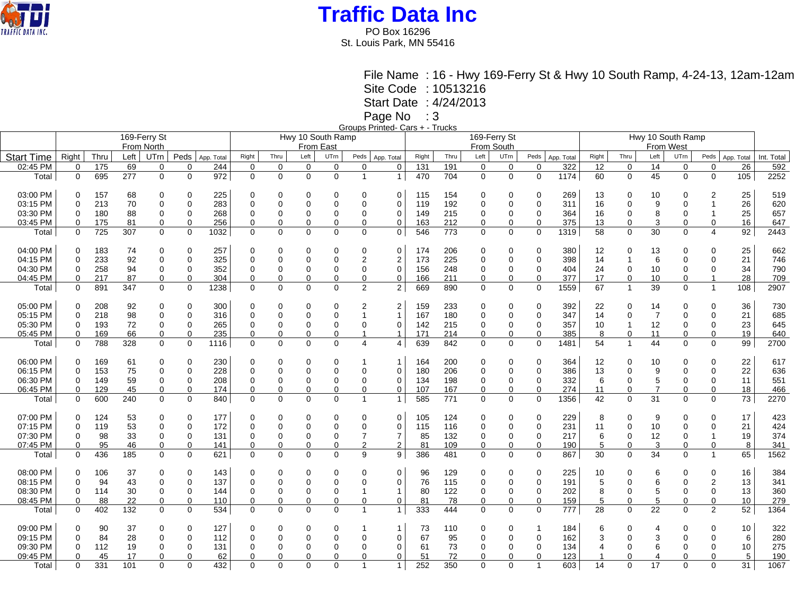

PO Box 16296 St. Louis Park, MN 55416

> File Name : 16 - Hwy 169-Ferry St & Hwy 10 South Ramp, 4-24-13, 12am-12am Site Code : 10513216

Start Date : 4/24/2013

Page No : 3

Groups Printed- Cars + - Trucks

|                   |             |      |      |              |              |            |                   |             |             |             |                | $\cdots$ $\cdots$ |            |              |                |             |          |            |       |                |                   |             |                |            |            |  |  |  |
|-------------------|-------------|------|------|--------------|--------------|------------|-------------------|-------------|-------------|-------------|----------------|-------------------|------------|--------------|----------------|-------------|----------|------------|-------|----------------|-------------------|-------------|----------------|------------|------------|--|--|--|
|                   |             |      |      | 169-Ferry St |              |            | Hwy 10 South Ramp |             |             |             |                |                   |            | 169-Ferry St |                |             |          |            |       |                | Hwy 10 South Ramp |             |                |            |            |  |  |  |
|                   |             |      |      | From North   |              |            |                   |             |             | From East   |                |                   | From South |              |                |             |          |            |       | From West      |                   |             |                |            |            |  |  |  |
|                   |             |      |      |              |              |            |                   |             |             |             |                |                   |            |              | Left           |             |          |            |       |                |                   |             |                |            |            |  |  |  |
| <b>Start Time</b> | Right       | Thru | Left | UTrn         | Peds         | App. Total | Right             | Thru        | Left $ $    | <b>UTrn</b> | Peds           | App. Total        | Right      | Thru         |                | UTrn        | Peds     | App. Total | Right | Thru           | Left              | UTrn        | Peds           | App. Total | Int. Total |  |  |  |
| 02:45 PM          | $\mathbf 0$ | 175  | 69   | 0            | $\Omega$     | 244        | 0                 | 0           | $\mathbf 0$ | $\mathbf 0$ | 0              | $\Omega$          | 131        | 191          | $\mathbf 0$    | 0           | 0        | 322        | 12    | $\mathbf 0$    | 14                | $\mathbf 0$ | 0              | 26         | 592        |  |  |  |
| Total             | $\mathbf 0$ | 695  | 277  | $\Omega$     | $\mathbf{0}$ | 972        | $\mathbf 0$       | $\mathbf 0$ | $\mathbf 0$ | $\Omega$    | $\overline{1}$ | $\mathbf{1}$      | 470        | 704          | $\mathbf 0$    | $\mathbf 0$ | 0        | 1174       | 60    | $\mathbf 0$    | 45                | $\Omega$    | $\mathbf 0$    | 105        | 2252       |  |  |  |
|                   |             |      |      |              |              |            |                   |             |             |             |                |                   |            |              |                |             |          |            |       |                |                   |             |                |            |            |  |  |  |
| 03:00 PM          | $\Omega$    | 157  | 68   | $\Omega$     | $\Omega$     | 225        |                   | 0           | $\mathbf 0$ | $\Omega$    | $\Omega$       | 0                 | 115        | 154          | 0              | $\Omega$    | 0        | 269        | 13    | $\Omega$       | 10                | 0           | $\overline{2}$ | 25         | 519        |  |  |  |
| 03:15 PM          | $\Omega$    | 213  | 70   | $\Omega$     | $\Omega$     | 283        | $\Omega$          | 0           | $\Omega$    | $\Omega$    | 0              | $\Omega$          | 119        | 192          | $\Omega$       | $\Omega$    | 0        | 311        | 16    | $\Omega$       | 9                 | 0           |                | 26         | 620        |  |  |  |
|                   |             |      |      |              |              |            |                   |             |             |             |                |                   |            |              |                |             |          |            |       |                |                   |             |                |            |            |  |  |  |
| 03:30 PM          | 0           | 180  | 88   | 0            | $\mathbf 0$  | 268        | $\Omega$          | 0           | $\mathbf 0$ | $\Omega$    | 0              | 0                 | 149        | 215          | 0              | 0           | 0        | 364        | 16    | $\mathbf 0$    | 8                 | $\Omega$    | 1              | 25         | 657        |  |  |  |
| 03:45 PM          | $\Omega$    | 175  | 81   | 0            | $\Omega$     | 256        | $\Omega$          | 0           | $\mathbf 0$ | $\Omega$    | 0              | 0                 | 163        | 212          | $\Omega$       | 0           | $\Omega$ | 375        | 13    | $\Omega$       | 3                 | $\Omega$    | $\Omega$       | 16         | 647        |  |  |  |
| Total             | 0           | 725  | 307  | 0            | $\mathbf 0$  | 1032       | 0                 | 0           | $\mathbf 0$ | 0           | $\mathbf 0$    | 0                 | 546        | 773          | 0              | $\mathbf 0$ | 0        | 1319       | 58    | $\mathbf 0$    | 30                | 0           | 4              | 92         | 2443       |  |  |  |
|                   |             |      |      |              |              |            |                   |             |             |             |                |                   |            |              |                |             |          |            |       |                |                   |             |                |            |            |  |  |  |
| 04:00 PM          | $\Omega$    | 183  | 74   | 0            | $\Omega$     | 257        | $\Omega$          | 0           | 0           | 0           | 0              | 0                 | 174        | 206          | 0              | $\Omega$    | 0        | 380        | 12    | $\Omega$       | 13                | 0           | 0              | 25         | 662        |  |  |  |
| 04:15 PM          | $\Omega$    | 233  | 92   | $\mathbf 0$  | $\mathbf 0$  | 325        | $\mathbf 0$       | 0           | $\mathbf 0$ | $\Omega$    | 2              | 2                 | 173        | 225          | $\mathbf 0$    | $\Omega$    | 0        | 398        | 14    | $\mathbf{1}$   | 6                 | $\Omega$    | 0              | 21         | 746        |  |  |  |
| 04:30 PM          | $\Omega$    | 258  | 94   | 0            | 0            | 352        | $\Omega$          | 0           |             | $\Omega$    | 0              | 0                 | 156        | 248          | 0              | 0           | 0        | 404        |       | 0              |                   | 0           | 0              | 34         | 790        |  |  |  |
|                   |             |      |      |              |              |            |                   |             | 0           |             |                |                   |            |              |                |             |          |            | 24    |                | 10                |             |                |            |            |  |  |  |
| 04:45 PM          | 0           | 217  | 87   | 0            | $\mathbf 0$  | 304        | 0                 | 0           | $\mathbf 0$ | $\Omega$    | 0              | 0                 | 166        | 211          | 0              | 0           | 0        | 377        | 17    | $\mathbf 0$    | 10                | $\Omega$    | 1              | 28         | 709        |  |  |  |
| Total             | $\Omega$    | 891  | 347  | $\Omega$     | 0            | 1238       | $\Omega$          | $\mathbf 0$ | $\Omega$    | $\Omega$    | $\overline{2}$ | $\overline{2}$    | 669        | 890          | $\mathbf 0$    | $\mathbf 0$ | 0        | 1559       | 67    | $\overline{1}$ | 39                | $\mathbf 0$ | $\mathbf{1}$   | 108        | 2907       |  |  |  |
|                   |             |      |      |              |              |            |                   |             |             |             |                |                   |            |              |                |             |          |            |       |                |                   |             |                |            |            |  |  |  |
| 05:00 PM          | 0           | 208  | 92   | 0            | $\Omega$     | 300        | $\Omega$          | 0           | $\mathbf 0$ | $\Omega$    | 2              | $\overline{2}$    | 159        | 233          | 0              | $\Omega$    | 0        | 392        | 22    | $\Omega$       | 14                | 0           | 0              | 36         | 730        |  |  |  |
| 05:15 PM          | $\Omega$    | 218  | 98   | $\mathbf 0$  | $\Omega$     | 316        | $\Omega$          | 0           | $\mathbf 0$ | $\Omega$    |                | $\overline{1}$    | 167        | 180          | $\mathbf 0$    | $\Omega$    | 0        | 347        | 14    | $\Omega$       | $\overline{7}$    | $\Omega$    | $\Omega$       | 21         | 685        |  |  |  |
| 05:30 PM          | 0           | 193  | 72   | 0            | $\Omega$     | 265        | $\Omega$          | 0           | $\mathbf 0$ | $\Omega$    | 0              | 0                 | 142        | 215          | 0              | 0           | 0        | 357        | 10    | 1              | 12                | $\Omega$    | 0              | 23         | 645        |  |  |  |
| 05:45 PM          | 0           | 169  | 66   | $\mathbf 0$  | $\Omega$     | 235        | $\Omega$          | 0           | $\mathbf 0$ | $\Omega$    | 1              | $\mathbf{1}$      | 171        | 214          | 0              | 0           | $\Omega$ | 385        | 8     | $\Omega$       | 11                | $\Omega$    | 0              | 19         | 640        |  |  |  |
|                   |             |      |      |              |              |            |                   |             |             |             | $\overline{4}$ |                   |            |              |                |             |          |            |       | $\overline{1}$ |                   |             |                |            |            |  |  |  |
| Total             | $\mathbf 0$ | 788  | 328  | $\mathbf 0$  | $\Omega$     | 1116       | $\mathbf 0$       | $\mathbf 0$ | $\mathbf 0$ | $\Omega$    |                | 4                 | 639        | 842          | $\mathbf 0$    | $\mathbf 0$ | 0        | 1481       | 54    |                | 44                | $\Omega$    | $\Omega$       | 99         | 2700       |  |  |  |
|                   |             |      |      |              |              |            |                   |             |             |             |                |                   |            |              |                |             |          |            |       |                |                   |             |                |            |            |  |  |  |
| 06:00 PM          | 0           | 169  | 61   | 0            | $\Omega$     | 230        | $\Omega$          | 0           | 0           | $\Omega$    |                | -1                | 164        | 200          | 0              | $\Omega$    | 0        | 364        | 12    | $\Omega$       | 10                | 0           | 0              | 22         | 617        |  |  |  |
| 06:15 PM          | 0           | 153  | 75   | $\mathbf 0$  | $\Omega$     | 228        | $\Omega$          | 0           | $\mathbf 0$ | $\Omega$    | 0              | 0                 | 180        | 206          | $\mathbf 0$    | $\mathbf 0$ | 0        | 386        | 13    | $\Omega$       | 9                 | $\Omega$    | $\mathbf 0$    | 22         | 636        |  |  |  |
| 06:30 PM          | $\Omega$    | 149  | 59   | 0            | 0            | 208        | $\Omega$          | 0           | 0           | $\Omega$    | 0              | 0                 | 134        | 198          | 0              | 0           | 0        | 332        | 6     | 0              | 5                 | 0           | 0              | 11         | 551        |  |  |  |
| 06:45 PM          | 0           | 129  | 45   | 0            | 0            | 174        | 0                 | 0           | 0           | $\Omega$    | 0              | 0                 | 107        | 167          | 0              | 0           | 0        | 274        | 11    | 0              | $\overline{7}$    | $\Omega$    | 0              | 18         | 466        |  |  |  |
| Total             | $\mathbf 0$ | 600  | 240  | $\Omega$     | $\mathbf 0$  | 840        | $\Omega$          | $\mathbf 0$ | $\mathbf 0$ | $\Omega$    | $\mathbf{1}$   | $\mathbf{1}$      | 585        | 771          | $\mathbf 0$    | $\mathbf 0$ | 0        | 1356       | 42    | $\Omega$       | 31                | $\Omega$    | $\mathbf 0$    | 73         | 2270       |  |  |  |
|                   |             |      |      |              |              |            |                   |             |             |             |                |                   |            |              |                |             |          |            |       |                |                   |             |                |            |            |  |  |  |
| 07:00 PM          | 0           | 124  | 53   | 0            | $\Omega$     | 177        | $\Omega$          | 0           | $\mathbf 0$ | $\Omega$    | 0              | 0                 | 105        | 124          | 0              | $\Omega$    | 0        | 229        | 8     | $\Omega$       | 9                 | 0           | $\Omega$       | 17         | 423        |  |  |  |
|                   |             |      |      |              |              |            |                   |             |             |             |                |                   |            |              |                |             |          |            |       |                |                   |             |                |            |            |  |  |  |
| 07:15 PM          | $\Omega$    | 119  | 53   | $\Omega$     | $\Omega$     | 172        | $\Omega$          | 0           | $\mathbf 0$ | $\Omega$    | 0              | 0                 | 115        | 116          | $\overline{0}$ | $\Omega$    | 0        | 231        | 11    | $\Omega$       | 10                | $\Omega$    | $\mathbf 0$    | 21         | 424        |  |  |  |
| 07:30 PM          | 0           | 98   | 33   | 0            | $\mathbf 0$  | 131        | $\Omega$          | 0           | 0           | $\Omega$    | 7              | $\overline{7}$    | 85         | 132          | 0              | 0           | 0        | 217        | 6     | $\Omega$       | 12                | $\Omega$    |                | 19         | 374        |  |  |  |
| 07:45 PM          | 0           | 95   | 46   | 0            | 0            | 141        | 0                 | 0           | 0           | $\Omega$    | $\overline{c}$ | 2                 | 81         | 109          | 0              | 0           | 0        | 190        | 5     | 0              | 3                 | 0           | 0              | 8          | 341        |  |  |  |
| Total             | 0           | 436  | 185  | $\Omega$     | $\Omega$     | 621        | $\Omega$          | $\Omega$    | $\Omega$    | $\Omega$    | 9              | 9                 | 386        | 481          | $\mathbf 0$    | $\mathbf 0$ | $\Omega$ | 867        | 30    | $\Omega$       | 34                | $\Omega$    | $\mathbf{1}$   | 65         | 1562       |  |  |  |
|                   |             |      |      |              |              |            |                   |             |             |             |                |                   |            |              |                |             |          |            |       |                |                   |             |                |            |            |  |  |  |
| 08:00 PM          | $\Omega$    | 106  | 37   | 0            | $\Omega$     | 143        | $\Omega$          | 0           | 0           | $\Omega$    | $\Omega$       | 0                 | 96         | 129          | 0              | $\Omega$    | 0        | 225        | 10    | $\Omega$       | 6                 | $\Omega$    | 0              | 16         | 384        |  |  |  |
| 08:15 PM          | 0           | 94   | 43   | 0            | $\Omega$     | 137        | $\Omega$          | 0           | $\mathbf 0$ | $\Omega$    | 0              | 0                 | 76         | 115          | 0              | 0           | 0        | 191        | 5     | $\Omega$       | 6                 | $\Omega$    | $\overline{c}$ | 13         | 341        |  |  |  |
| 08:30 PM          | 0           |      | 30   |              |              |            | $\Omega$          | 0           | $\mathbf 0$ |             |                | 1                 |            | 122          |                |             | 0        | 202        | 8     | $\Omega$       | 5                 | $\mathbf 0$ | 0              | 13         | 360        |  |  |  |
|                   |             | 114  |      | 0            | 0            | 144        |                   |             |             | 0           |                |                   | 80         |              | 0              | 0           |          |            |       |                |                   |             |                |            |            |  |  |  |
| 08:45 PM          | 0           | 88   | 22   | 0            | $\Omega$     | 110        | $\Omega$          | 0           | $\mathbf 0$ | $\Omega$    | $\overline{0}$ | 0                 | 81         | 78           | $\Omega$       | 0           | $\Omega$ | 159        | 5     | $\Omega$       | 5                 | $\Omega$    | $\Omega$       | 10         | 279        |  |  |  |
| Total             | $\Omega$    | 402  | 132  | $\Omega$     | $\Omega$     | 534        | $\Omega$          | 0           | $\Omega$    | $\Omega$    | $\mathbf{1}$   | $\mathbf{1}$      | 333        | 444          | $\Omega$       | $\Omega$    | 0        | 777        | 28    | $\Omega$       | 22                | $\Omega$    | 2              | 52         | 1364       |  |  |  |
|                   |             |      |      |              |              |            |                   |             |             |             |                |                   |            |              |                |             |          |            |       |                |                   |             |                |            |            |  |  |  |
| 09:00 PM          | $\Omega$    | 90   | 37   | $\mathbf 0$  | $\Omega$     | 127        | $\Omega$          | 0           | 0           | 0           |                | 1                 | 73         | 110          | 0              | $\Omega$    | 1        | 184        | 6     | $\Omega$       | 4                 | $\Omega$    | $\Omega$       | 10         | 322        |  |  |  |
| 09:15 PM          | $\Omega$    | 84   | 28   | $\Omega$     | $\Omega$     | 112        | $\Omega$          | 0           | $\Omega$    | $\Omega$    | 0              | $\Omega$          | 67         | 95           | $\Omega$       | $\Omega$    | 0        | 162        | 3     | $\Omega$       |                   | 0           | 0              | 6          | 280        |  |  |  |
| 09:30 PM          | 0           | 112  | 19   | 0            | $\Omega$     | 131        |                   | 0           | 0           | $\Omega$    | 0              | 0                 | 61         | 73           | 0              | $\mathbf 0$ | 0        | 134        | 4     | $\Omega$       | 6                 | $\Omega$    | 0              | 10         | 275        |  |  |  |
| 09:45 PM          | $\Omega$    | 45   | 17   | $\Omega$     | $\Omega$     | 62         |                   | 0           | $\Omega$    | $\Omega$    | $\Omega$       | 0                 | 51         | 72           | 0              | $\Omega$    | $\Omega$ | 123        |       | $\Omega$       |                   | $\Omega$    | $\Omega$       | 5          | 190        |  |  |  |
| Total             | $\Omega$    | 331  | 101  | $\Omega$     | $\Omega$     | 432        | $\Omega$          | $\Omega$    | $\Omega$    | $\Omega$    | $\mathbf{1}$   | $\mathbf{1}$      | 252        | 350          | 0              | $\Omega$    | 1        | 603        | 14    | $\Omega$       | 17                | $\Omega$    | $\mathbf 0$    | 31         | 1067       |  |  |  |
|                   |             |      |      |              |              |            |                   |             |             |             |                |                   |            |              |                |             |          |            |       |                |                   |             |                |            |            |  |  |  |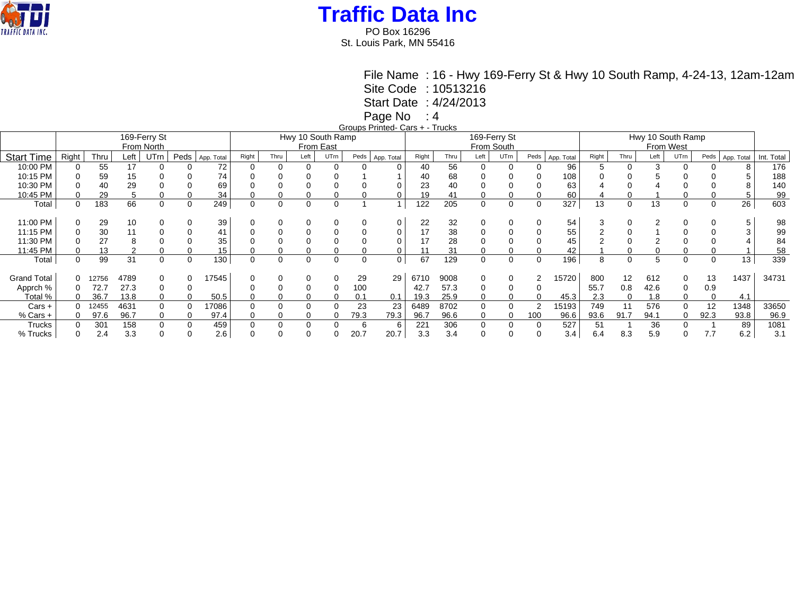

PO Box 16296 St. Louis Park, MN 55416

> File Name : 16 - Hwy 169-Ferry St & Hwy 10 South Ramp, 4-24-13, 12am-12am Site Code : 10513216

Start Date : 4/24/2013

Page No : 4

Groups Printed- Cars + - Trucks

|                    |          |       |                | 169-Ferry St<br>From North |      |            |          |      | Hwy 10 South Ramp<br>From East |          |      |            |       |      | 169-Ferry St<br>From South |          |      |            | Hwy 10 South Ramp<br>From West |          |      |      |      |            |            |  |
|--------------------|----------|-------|----------------|----------------------------|------|------------|----------|------|--------------------------------|----------|------|------------|-------|------|----------------------------|----------|------|------------|--------------------------------|----------|------|------|------|------------|------------|--|
| <b>Start Time</b>  | Right    | Thru  | Left           | UTrn                       | Peds | App. Total | Right    | Thru | Left                           | UTrn     | Peds | App. Total | Right | Thru | Left                       | UTrn     | Peds | App. Total | Right                          | Thru     | Left | UTrn | Peds | App. Total | Int. Total |  |
| 10:00 PM           |          | 55    | 17             | $\Omega$                   |      | 72         |          |      | $\Omega$                       | 0        |      |            | 40    | 56   | $\Omega$                   | $\Omega$ |      | 96         | 5                              | $\Omega$ | 3    |      |      |            | 176        |  |
| 10:15 PM           |          | 59    | 15             |                            |      | 74         |          |      |                                |          |      |            | 40    | 68   |                            |          |      | 108        |                                |          |      |      |      |            | 188        |  |
| 10:30 PM           |          | 40    | 29             |                            |      | 69         |          |      |                                |          |      |            | 23    | 40   |                            |          |      | 63         |                                |          |      |      |      |            | 140        |  |
|                    |          |       |                |                            |      |            |          |      |                                |          |      |            |       |      |                            |          |      |            |                                |          |      |      |      |            |            |  |
| 10:45 PM           |          | 29    | 5              | 0                          |      | 34         |          |      |                                | 0        |      |            | 19    | 41   | $\Omega$                   |          |      | 60         |                                |          |      |      |      | .5         | 99         |  |
| Total              | 0        | 183   | 66             | 0                          |      | 249        | $\Omega$ | 0    | $\Omega$                       | 0        |      |            | 122   | 205  | 0                          | 0        |      | 327        | 13                             | $\Omega$ | 13   | 0    | 0    | 26         | 603        |  |
|                    |          |       |                |                            |      |            |          |      |                                |          |      |            |       |      |                            |          |      |            |                                |          |      |      |      |            |            |  |
| 11:00 PM           |          | 29    | 10             |                            |      | 39         |          |      |                                |          |      |            | 22    | 32   |                            |          |      | 54         |                                |          |      |      |      |            | 98         |  |
| 11:15 PM           |          | 30    |                |                            |      |            |          |      |                                |          |      |            | 17    | 38   |                            |          |      | 55         |                                |          |      |      |      |            | 99         |  |
| 11:30 PM           |          | 27    | 8              |                            |      | 35         |          |      |                                |          |      |            | 17    | 28   |                            |          |      | 45         |                                |          |      |      |      |            | 84         |  |
| 11:45 PM           |          | 13    | $\overline{2}$ |                            |      | 15         |          |      |                                |          |      |            |       | 31   |                            |          |      | 42         |                                |          |      |      |      |            | 58         |  |
| Total              | $\Omega$ | 99    | 31             | $\Omega$                   |      | 130        | 0        | 0    | $\Omega$                       | $\Omega$ | 0    | 0          | 67    | 129  | 0                          | $\Omega$ |      | 196        | 8                              | $\Omega$ | 5    |      | 0    | 13         | 339        |  |
|                    |          |       |                |                            |      |            |          |      |                                |          |      |            |       |      |                            |          |      |            |                                |          |      |      |      |            |            |  |
| <b>Grand Total</b> | 0        | 12756 | 4789           |                            |      | 17545      |          |      |                                |          | 29   | 29         | 6710  | 9008 | $\Omega$                   |          | 2    | 15720      | 800                            | 12       | 612  |      | 13   | 1437       | 34731      |  |
| Apprch %           | 0        | 72.   | 27.3           | $\Omega$                   |      |            |          |      |                                | $\Omega$ | 100  |            | 42.7  | 57.3 | 0                          |          |      |            | 55.7                           | 0.8      | 42.6 |      | 0.9  |            |            |  |
| Total %            |          | 36.   | 13.8           |                            |      | 50.5       |          |      |                                |          | 0.1  | 0.1        | 19.3  | 25.9 | 0                          |          |      | 45.3       | 2.3                            |          | 1.8  |      |      | 4.1        |            |  |
| $Cars +$           |          | 12455 | 4631           | $\Omega$                   |      | 7086       |          |      | $\Omega$                       |          | 23   | 23         | 6489  | 8702 | $\Omega$                   |          | 2    | 15193      | 749                            | 11       | 576  |      | 12   | 1348       | 33650      |  |
| $%$ Cars +         | $\Omega$ | 97.6  | 96.7           | 0                          |      | 97.4       |          |      |                                | 0        | 79.3 | 79.3       | 96.7  | 96.6 | 0                          | $\Omega$ | 100  | 96.6       | 93.6                           | 91.7     | 94.1 |      | 92.3 | 93.8       | 96.9       |  |
| Trucks             |          | 301   | 158            |                            |      | 459        |          |      |                                |          | 6    |            | 221   | 306  | 0                          |          |      | 527        | 51                             |          | 36   |      |      | 89         | 1081       |  |
| % Trucks           |          | 2.4   | 3.3            |                            |      | 2.6        |          |      |                                |          | 20.7 | 20.7       | 3.3   | 3.4  |                            |          |      | 3.4        | 6.4                            | 8.3      | 5.9  |      | 7.7  | 6.2        | 3.1        |  |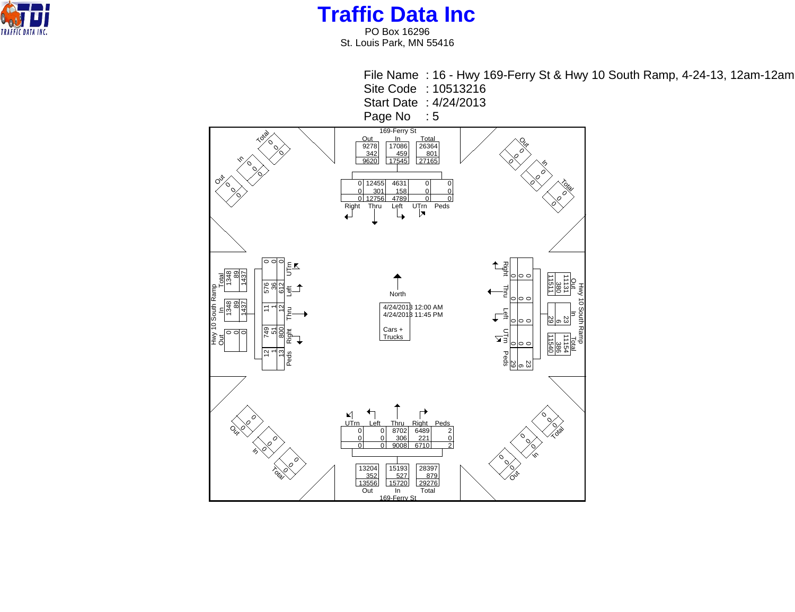

PO Box 16296 St. Louis Park, MN 55416

File Name : 16 - Hwy 169-Ferry St & Hwy 10 South Ramp, 4-24-13, 12am-12am Site Code : 10513216 Start Date : 4/24/2013 Page No : 5 169-Ferry St  $\frac{169-76 \text{ ergs}}{10086}$   $\frac{169-76 \text{ ergs}}{17086}$   $\frac{169-76 \text{ ergs}}{2278}$   $\frac{169-76 \text{ ergs}}{2428}$   $\frac{1608}{2620}$   $\frac{17545}{17545}$   $\frac{27165}{27165}$ **Loga** Q,  $\circ$  $\mathcal{O}$ 0  $\mathcal{O}$ 0 In 0 In 0  $\mathcal{O}$ 0  $\mathcal{O}$  $\circ$ 0 To<sub>tal</sub> 0  $\varphi$ 0<br>0<br>0 12455 301 12756 4631<br><u>\_158</u> 0 0  $\mathcal{O}$  $\Omega$  $\overline{0}$ 0  $\mathcal{O}$ 4789  $\overline{0}$ <u>4789 0| 0|</u><br>Left UTrn Peds  $\varphi$ 0 Right Thru 0 0 ol  $E_{\mathbf{K}}$ Right  $\begin{array}{ccc}\n\sqrt{2} & \sqrt{2} & \sqrt{2} \\
\sqrt{2} & \sqrt{2} & \sqrt{2}\n\end{array}$  Peds Right Thru Left UTm 0 1348 1348  $\frac{89}{89}$  89 0 1437 1437 Total  $\circ$  $\circ$  $\circ$ 11511 11540 29 11131 23 11154 o<br>F 576 36 612  $\frac{1}{2}$   $\frac{1}{2}$   $\frac{1}{2}$   $\frac{1}{2}$   $\frac{1}{2}$   $\frac{1}{2}$   $\frac{1}{2}$   $\frac{1}{2}$   $\frac{1}{2}$   $\frac{1}{2}$   $\frac{1}{2}$   $\frac{1}{2}$   $\frac{1}{2}$   $\frac{1}{2}$   $\frac{1}{2}$   $\frac{1}{2}$   $\frac{1}{2}$   $\frac{1}{2}$   $\frac{1}{2}$   $\frac{1}{2}$   $\frac{1}{2}$   $\frac{1}{2}$  380 - 9 386<br>0 386 Thru Left North  $\circ$  $\circ$  $\circ$  $\overline{1}$  $\overline{\phantom{0}}$ 의 4/24/2013 12:00 AM 4/24/2013 11:45 PM ا"<br>Out<br>Out Thru Left Total<br>Bio  $\circ$  $\circ$  $\circ$ 749 51 800 Cars + Trucks Right  $\mathbf{Z}$  $\circ$  $\circ$  $\circ$ 12  $\overline{\phantom{0}}$ <u>ಇ</u> Peds ಜ <sub>ಇ</sub>ದ್ದಿ<br>ಜ <sub>ಇ</sub>ದ್ದಿ ↰ ┌ ⊻ 0 0 UT<sub>rn</sub>  $\mathcal{O}_{\mathcal{E}}$ 0 Left Thru 8702 306 9008 Right<br>|6489 Peds  $\mathcal{O}$ O<sub>v</sub> 0 zd  $\overline{0}$ 0 2  $\sigma$  $22^{\circ}$ 0  $\overline{0}$  $\overline{0}$  $\overline{0}$  $\mathcal{O}$ 0 6710  $\overline{0}$  $\Omega$ 2  $\mathcal{O}$ 0  $^{\prime\hspace{-0.5pt}\prime}$ In 0 0  $\mathcal{O}$  169-Ferry St  $\varphi$ 0 13204 15193 28397 352 527 879 13556 15720 29276 Total  $\rightsquigarrow$ Out In Total